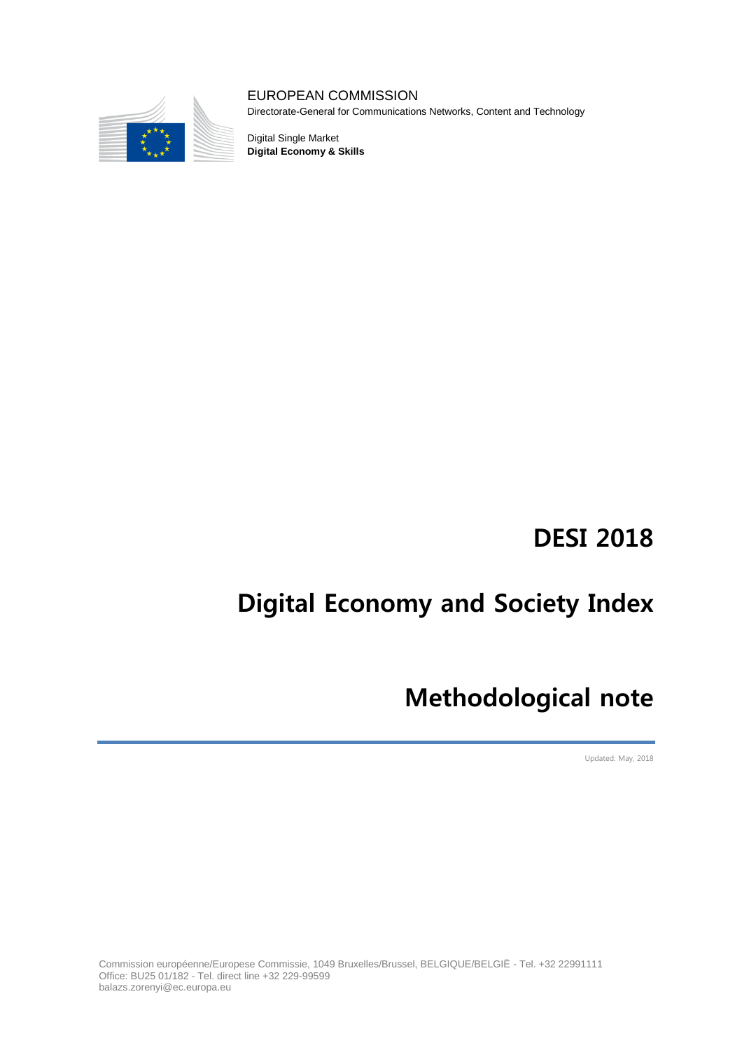

### EUROPEAN COMMISSION

Directorate-General for Communications Networks, Content and Technology

Digital Single Market **Digital Economy & Skills**

## **DESI 2018**

# **Digital Economy and Society Index**

## **Methodological note**

Updated: May, 2018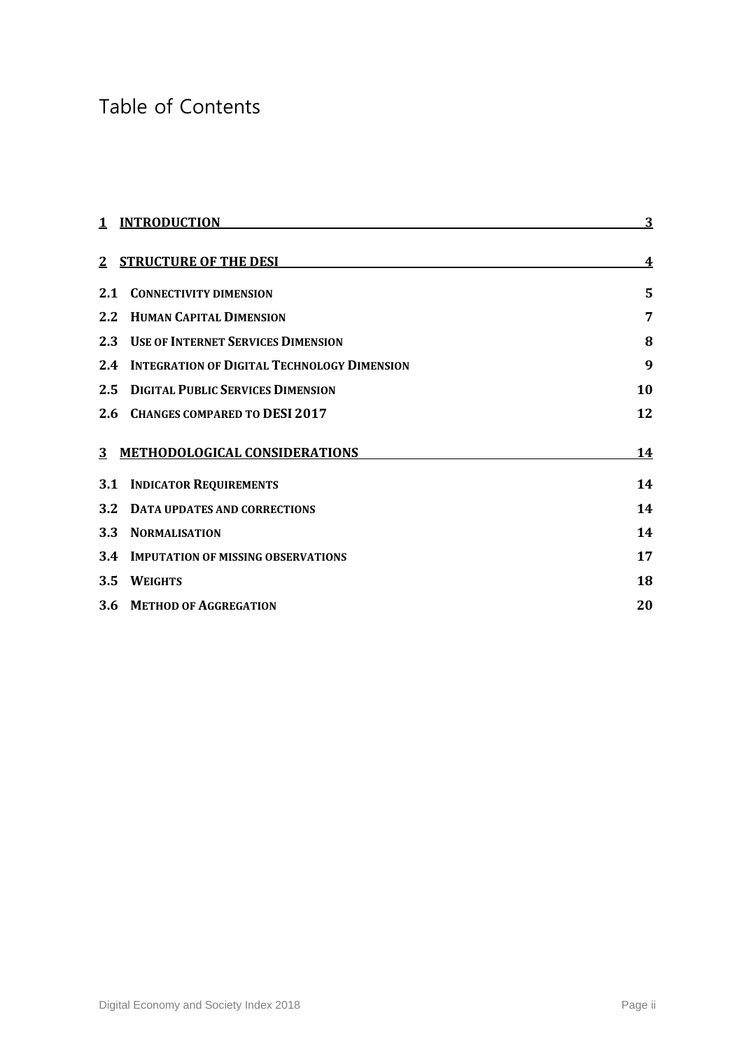## Table of Contents

| $\mathbf{1}$ | <b>INTRODUCTION</b>                                | <u>3</u>         |
|--------------|----------------------------------------------------|------------------|
|              | 2 STRUCTURE OF THE DESI                            | $\boldsymbol{4}$ |
| 2.1          | <b>CONNECTIVITY DIMENSION</b>                      | 5                |
| 2.2          | <b>HUMAN CAPITAL DIMENSION</b>                     | 7                |
|              | 2.3 USE OF INTERNET SERVICES DIMENSION             | 8                |
| 2.4          | <b>INTEGRATION OF DIGITAL TECHNOLOGY DIMENSION</b> | 9                |
| 2.5          | <b>DIGITAL PUBLIC SERVICES DIMENSION</b>           | 10               |
| 2.6          | <b>CHANGES COMPARED TO DESI 2017</b>               | 12               |
|              | 3 METHODOLOGICAL CONSIDERATIONS                    | <u>14</u>        |
|              | <b>3.1 INDICATOR REQUIREMENTS</b>                  | 14               |
| <b>3.2</b>   | <b>DATA UPDATES AND CORRECTIONS</b>                | 14               |
| <b>3.3</b>   | <b>NORMALISATION</b>                               | 14               |
| 3.4          | <b>IMPUTATION OF MISSING OBSERVATIONS</b>          | 17               |
| 3.5          | <b>WEIGHTS</b>                                     | 18               |
|              | 3.6 METHOD OF AGGREGATION                          | 20               |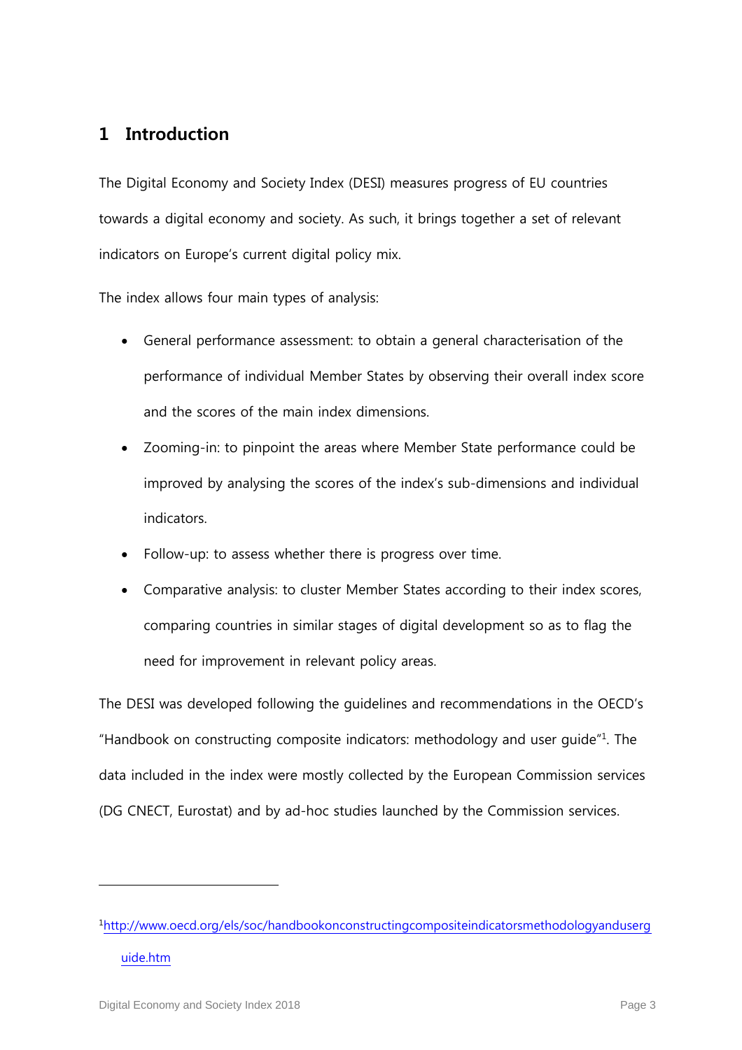### **1 Introduction**

The Digital Economy and Society Index (DESI) measures progress of EU countries towards a digital economy and society. As such, it brings together a set of relevant indicators on Europe's current digital policy mix.

The index allows four main types of analysis:

- General performance assessment: to obtain a general characterisation of the performance of individual Member States by observing their overall index score and the scores of the main index dimensions.
- Zooming-in: to pinpoint the areas where Member State performance could be improved by analysing the scores of the index's sub-dimensions and individual indicators.
- Follow-up: to assess whether there is progress over time.
- Comparative analysis: to cluster Member States according to their index scores, comparing countries in similar stages of digital development so as to flag the need for improvement in relevant policy areas.

The DESI was developed following the guidelines and recommendations in the OECD's "Handbook on constructing composite indicators: methodology and user guide" $1$ . The data included in the index were mostly collected by the European Commission services (DG CNECT, Eurostat) and by ad-hoc studies launched by the Commission services.

<sup>1</sup>[http://www.oecd.org/els/soc/handbookonconstructingcompositeindicatorsmethodologyanduserg](http://www.oecd.org/els/soc/handbookonconstructingcompositeindicatorsmethodologyanduserguide.htm) [uide.htm](http://www.oecd.org/els/soc/handbookonconstructingcompositeindicatorsmethodologyanduserguide.htm)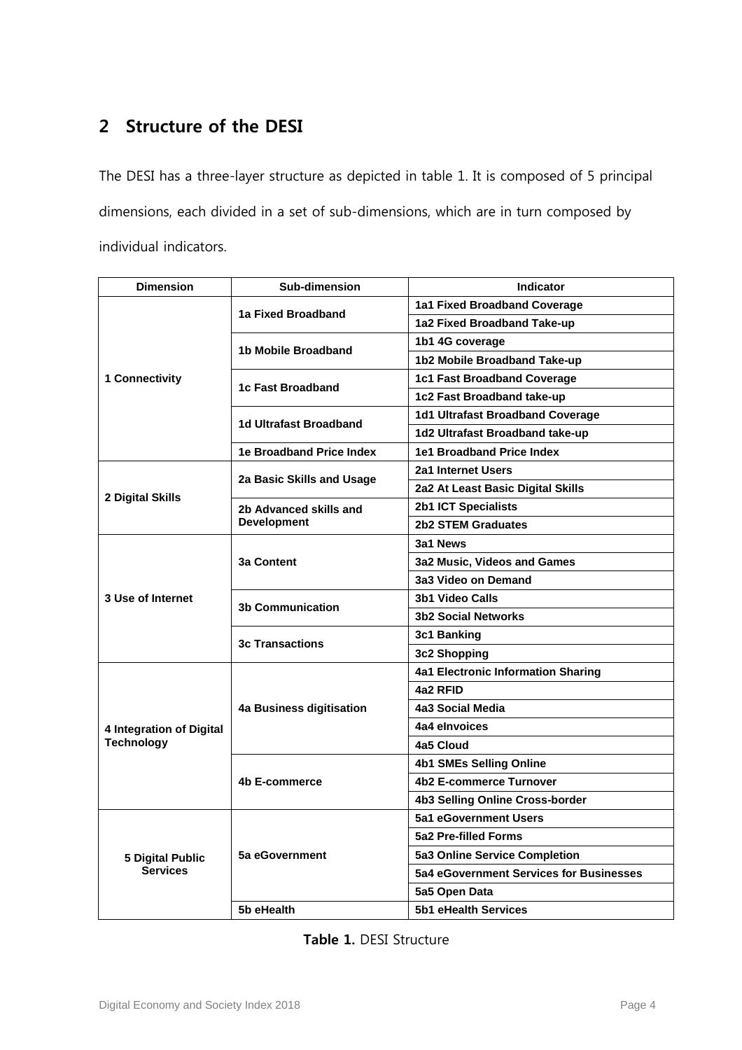## **2 Structure of the DESI**

The DESI has a three-layer structure as depicted in table [1.](#page-3-0) It is composed of 5 principal dimensions, each divided in a set of sub-dimensions, which are in turn composed by individual indicators.

| <b>Dimension</b>         | Sub-dimension                   | <b>Indicator</b>                          |
|--------------------------|---------------------------------|-------------------------------------------|
|                          |                                 | 1a1 Fixed Broadband Coverage              |
|                          | 1a Fixed Broadband              | 1a2 Fixed Broadband Take-up               |
|                          |                                 | 1b1 4G coverage                           |
|                          | 1b Mobile Broadband             | 1b2 Mobile Broadband Take-up              |
| 1 Connectivity           | 1c Fast Broadband               | 1c1 Fast Broadband Coverage               |
|                          |                                 | 1c2 Fast Broadband take-up                |
|                          |                                 | 1d1 Ultrafast Broadband Coverage          |
|                          | 1d Ultrafast Broadband          | 1d2 Ultrafast Broadband take-up           |
|                          | <b>1e Broadband Price Index</b> | 1e1 Broadband Price Index                 |
|                          | 2a Basic Skills and Usage       | 2a1 Internet Users                        |
| 2 Digital Skills         |                                 | 2a2 At Least Basic Digital Skills         |
|                          | 2b Advanced skills and          | <b>2b1 ICT Specialists</b>                |
|                          | <b>Development</b>              | <b>2b2 STEM Graduates</b>                 |
|                          |                                 | 3a1 News                                  |
|                          | <b>3a Content</b>               | 3a2 Music, Videos and Games               |
|                          |                                 | 3a3 Video on Demand                       |
| 3 Use of Internet        | <b>3b Communication</b>         | <b>3b1 Video Calls</b>                    |
|                          |                                 | <b>3b2 Social Networks</b>                |
|                          | <b>3c Transactions</b>          | 3c1 Banking                               |
|                          |                                 | 3c2 Shopping                              |
|                          |                                 | <b>4a1 Electronic Information Sharing</b> |
|                          |                                 | 4a2 RFID                                  |
|                          | 4a Business digitisation        | 4a3 Social Media                          |
| 4 Integration of Digital |                                 | 4a4 elnvoices                             |
| <b>Technology</b>        |                                 | 4a5 Cloud                                 |
|                          | 4b E-commerce                   | <b>4b1 SMEs Selling Online</b>            |
|                          |                                 | <b>4b2 E-commerce Turnover</b>            |
|                          |                                 | 4b3 Selling Online Cross-border           |
|                          | 5a eGovernment                  | 5a1 eGovernment Users                     |
|                          |                                 | 5a2 Pre-filled Forms                      |
| <b>5 Digital Public</b>  |                                 | 5a3 Online Service Completion             |
| <b>Services</b>          |                                 | 5a4 eGovernment Services for Businesses   |
|                          |                                 | 5a5 Open Data                             |
|                          | 5b eHealth                      | 5b1 eHealth Services                      |

<span id="page-3-0"></span>

| Table 1. DESI Structure |  |
|-------------------------|--|
|-------------------------|--|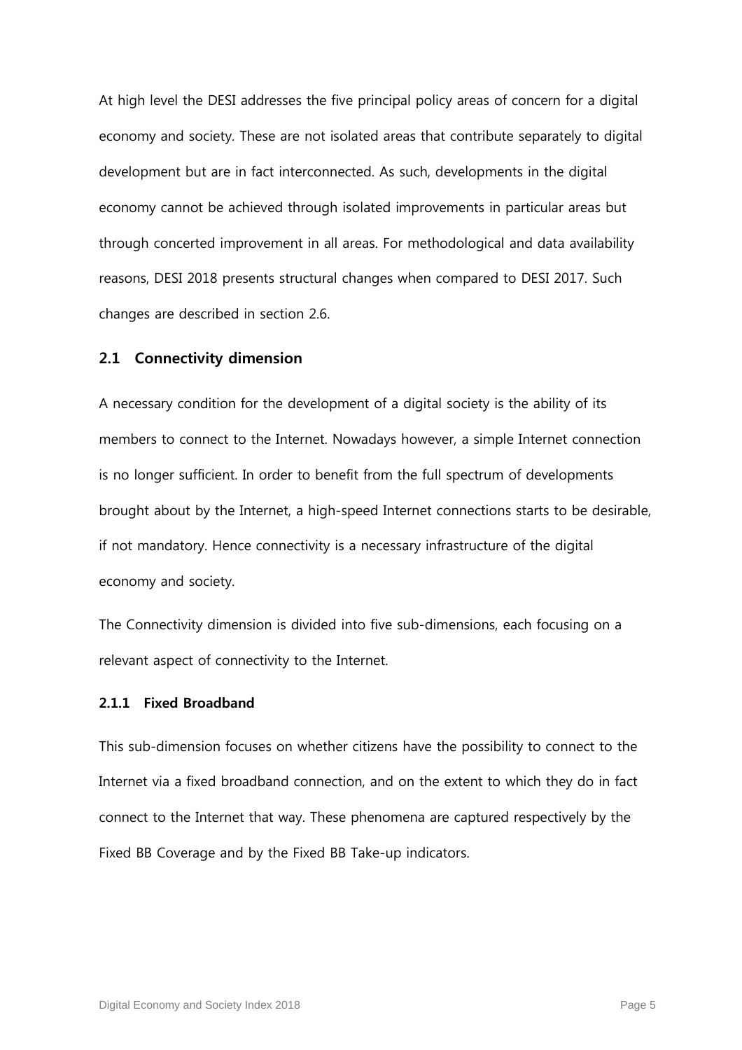At high level the DESI addresses the five principal policy areas of concern for a digital economy and society. These are not isolated areas that contribute separately to digital development but are in fact interconnected. As such, developments in the digital economy cannot be achieved through isolated improvements in particular areas but through concerted improvement in all areas. For methodological and data availability reasons, DESI 2018 presents structural changes when compared to DESI 2017. Such changes are described in section [2.6.](#page-11-0)

#### **2.1 Connectivity dimension**

A necessary condition for the development of a digital society is the ability of its members to connect to the Internet. Nowadays however, a simple Internet connection is no longer sufficient. In order to benefit from the full spectrum of developments brought about by the Internet, a high-speed Internet connections starts to be desirable, if not mandatory. Hence connectivity is a necessary infrastructure of the digital economy and society.

The Connectivity dimension is divided into five sub-dimensions, each focusing on a relevant aspect of connectivity to the Internet.

#### **2.1.1 Fixed Broadband**

This sub-dimension focuses on whether citizens have the possibility to connect to the Internet via a fixed broadband connection, and on the extent to which they do in fact connect to the Internet that way. These phenomena are captured respectively by the Fixed BB Coverage and by the Fixed BB Take-up indicators.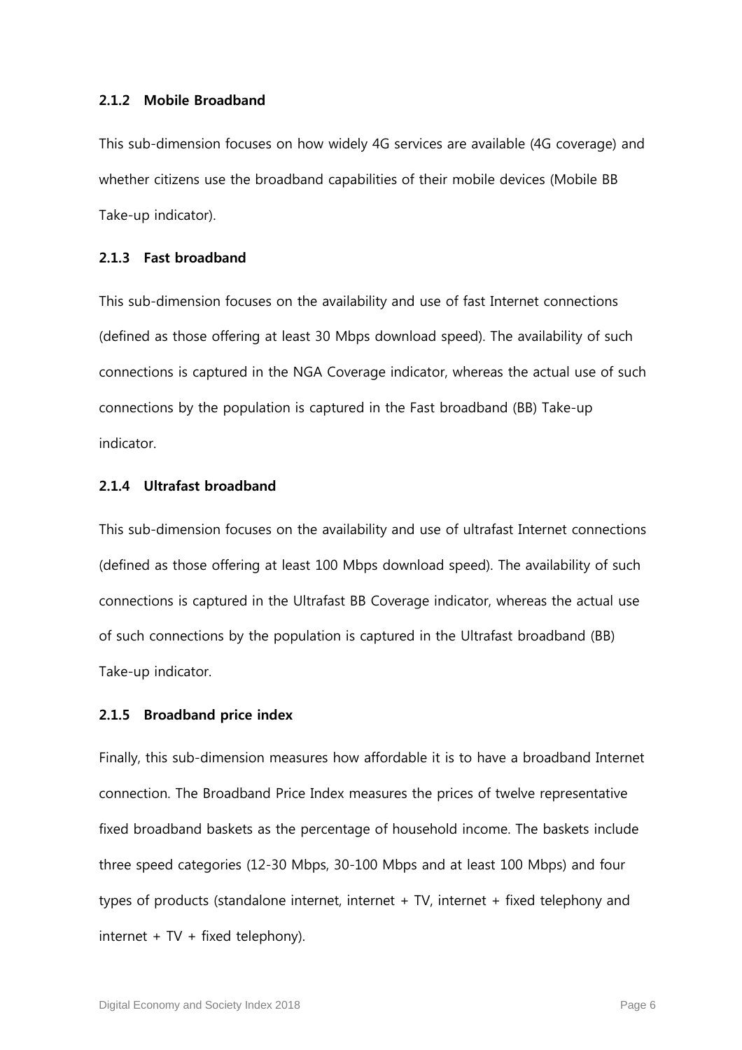#### **2.1.2 Mobile Broadband**

This sub-dimension focuses on how widely 4G services are available (4G coverage) and whether citizens use the broadband capabilities of their mobile devices (Mobile BB Take-up indicator).

#### **2.1.3 Fast broadband**

This sub-dimension focuses on the availability and use of fast Internet connections (defined as those offering at least 30 Mbps download speed). The availability of such connections is captured in the NGA Coverage indicator, whereas the actual use of such connections by the population is captured in the Fast broadband (BB) Take-up indicator.

#### **2.1.4 Ultrafast broadband**

This sub-dimension focuses on the availability and use of ultrafast Internet connections (defined as those offering at least 100 Mbps download speed). The availability of such connections is captured in the Ultrafast BB Coverage indicator, whereas the actual use of such connections by the population is captured in the Ultrafast broadband (BB) Take-up indicator.

#### **2.1.5 Broadband price index**

Finally, this sub-dimension measures how affordable it is to have a broadband Internet connection. The Broadband Price Index measures the prices of twelve representative fixed broadband baskets as the percentage of household income. The baskets include three speed categories (12-30 Mbps, 30-100 Mbps and at least 100 Mbps) and four types of products (standalone internet, internet + TV, internet + fixed telephony and  $internet + TV + fixed telephony$ .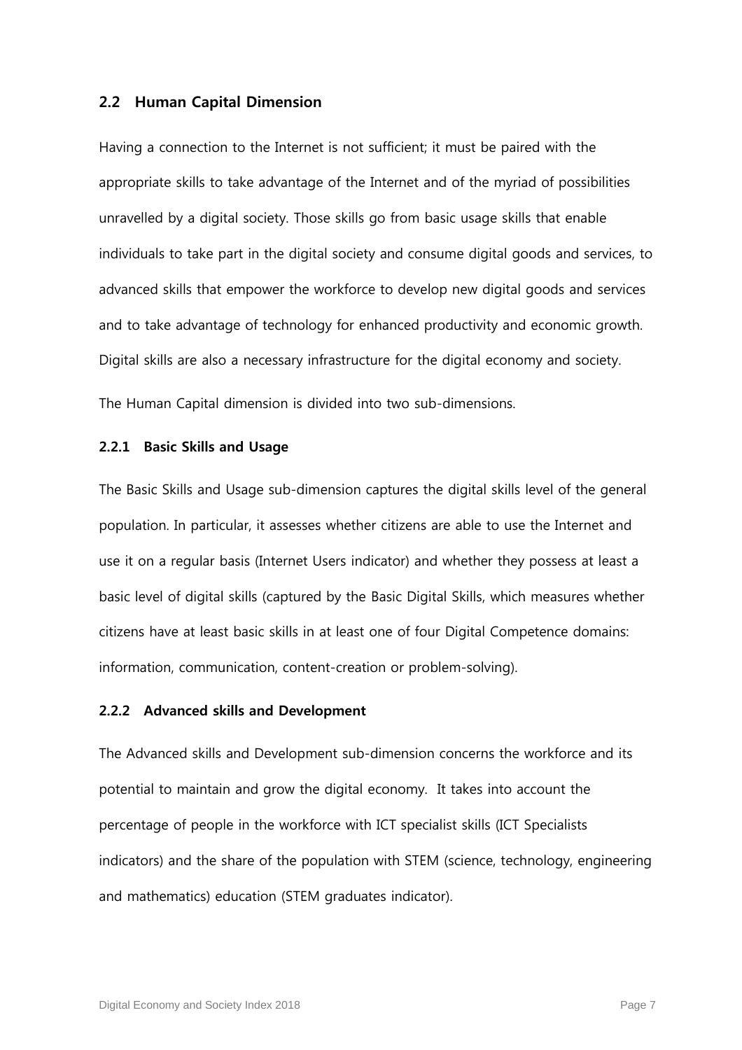#### **2.2 Human Capital Dimension**

Having a connection to the Internet is not sufficient; it must be paired with the appropriate skills to take advantage of the Internet and of the myriad of possibilities unravelled by a digital society. Those skills go from basic usage skills that enable individuals to take part in the digital society and consume digital goods and services, to advanced skills that empower the workforce to develop new digital goods and services and to take advantage of technology for enhanced productivity and economic growth. Digital skills are also a necessary infrastructure for the digital economy and society.

The Human Capital dimension is divided into two sub-dimensions.

#### **2.2.1 Basic Skills and Usage**

The Basic Skills and Usage sub-dimension captures the digital skills level of the general population. In particular, it assesses whether citizens are able to use the Internet and use it on a regular basis (Internet Users indicator) and whether they possess at least a basic level of digital skills (captured by the Basic Digital Skills, which measures whether citizens have at least basic skills in at least one of four Digital Competence domains: information, communication, content-creation or problem-solving).

#### **2.2.2 Advanced skills and Development**

The Advanced skills and Development sub-dimension concerns the workforce and its potential to maintain and grow the digital economy. It takes into account the percentage of people in the workforce with ICT specialist skills (ICT Specialists indicators) and the share of the population with STEM (science, technology, engineering and mathematics) education (STEM graduates indicator).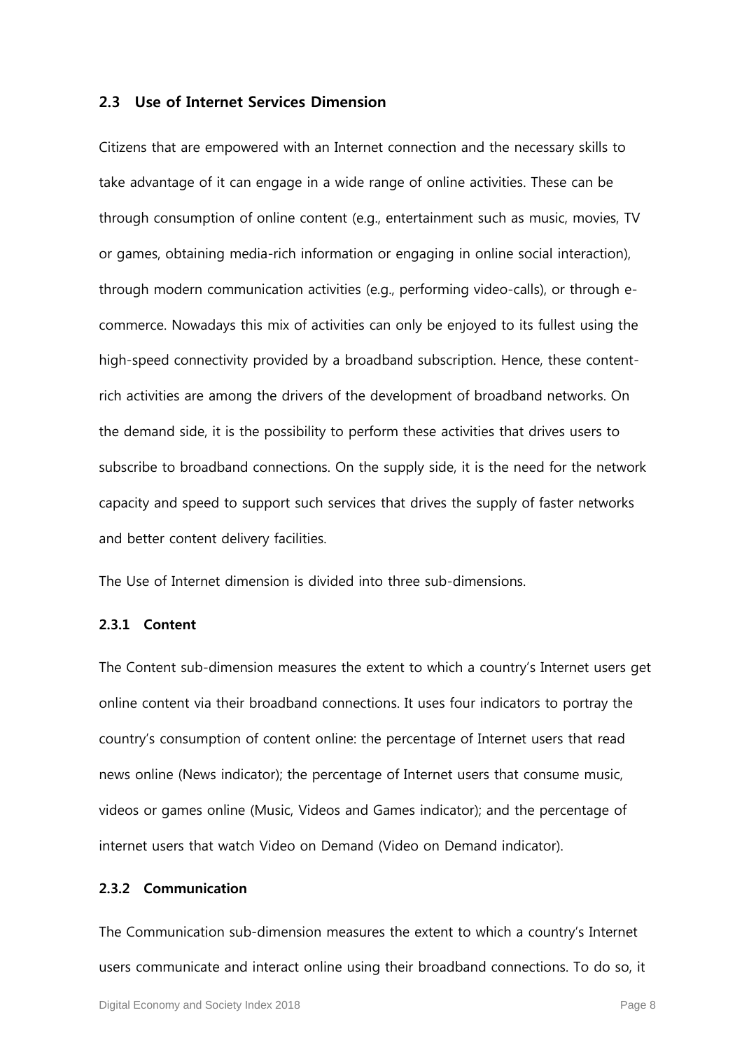#### **2.3 Use of Internet Services Dimension**

Citizens that are empowered with an Internet connection and the necessary skills to take advantage of it can engage in a wide range of online activities. These can be through consumption of online content (e.g., entertainment such as music, movies, TV or games, obtaining media-rich information or engaging in online social interaction), through modern communication activities (e.g., performing video-calls), or through ecommerce. Nowadays this mix of activities can only be enjoyed to its fullest using the high-speed connectivity provided by a broadband subscription. Hence, these contentrich activities are among the drivers of the development of broadband networks. On the demand side, it is the possibility to perform these activities that drives users to subscribe to broadband connections. On the supply side, it is the need for the network capacity and speed to support such services that drives the supply of faster networks and better content delivery facilities.

The Use of Internet dimension is divided into three sub-dimensions.

#### **2.3.1 Content**

The Content sub-dimension measures the extent to which a country's Internet users get online content via their broadband connections. It uses four indicators to portray the country's consumption of content online: the percentage of Internet users that read news online (News indicator); the percentage of Internet users that consume music, videos or games online (Music, Videos and Games indicator); and the percentage of internet users that watch Video on Demand (Video on Demand indicator).

#### **2.3.2 Communication**

The Communication sub-dimension measures the extent to which a country's Internet users communicate and interact online using their broadband connections. To do so, it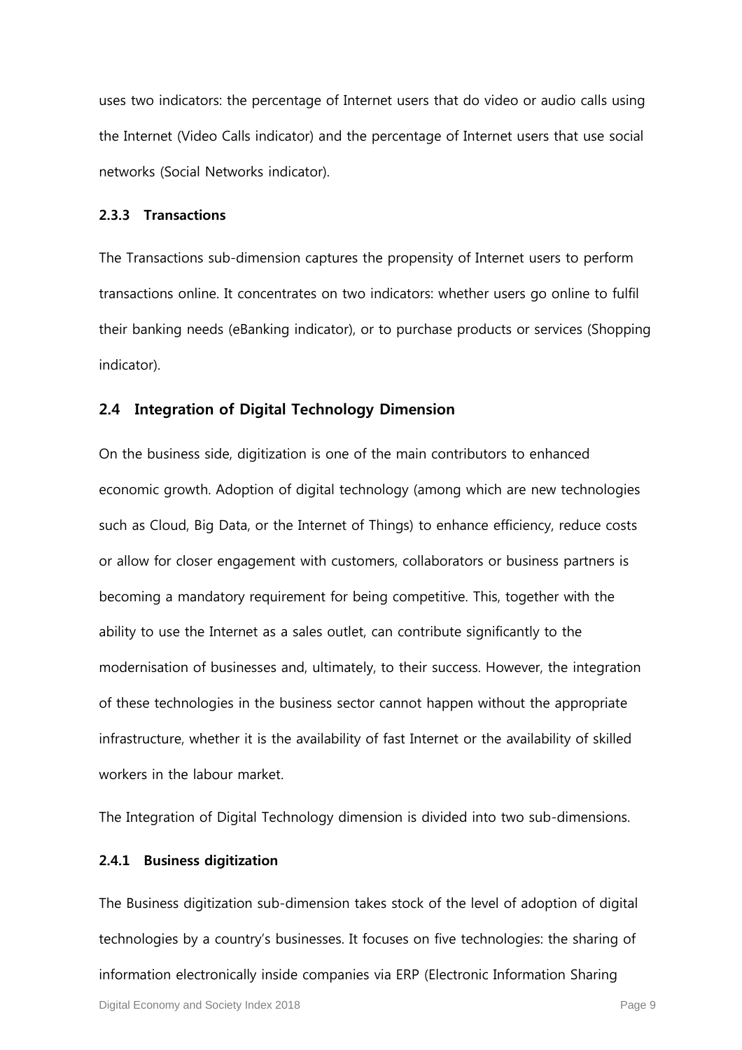uses two indicators: the percentage of Internet users that do video or audio calls using the Internet (Video Calls indicator) and the percentage of Internet users that use social networks (Social Networks indicator).

#### **2.3.3 Transactions**

The Transactions sub-dimension captures the propensity of Internet users to perform transactions online. It concentrates on two indicators: whether users go online to fulfil their banking needs (eBanking indicator), or to purchase products or services (Shopping indicator).

#### **2.4 Integration of Digital Technology Dimension**

On the business side, digitization is one of the main contributors to enhanced economic growth. Adoption of digital technology (among which are new technologies such as Cloud, Big Data, or the Internet of Things) to enhance efficiency, reduce costs or allow for closer engagement with customers, collaborators or business partners is becoming a mandatory requirement for being competitive. This, together with the ability to use the Internet as a sales outlet, can contribute significantly to the modernisation of businesses and, ultimately, to their success. However, the integration of these technologies in the business sector cannot happen without the appropriate infrastructure, whether it is the availability of fast Internet or the availability of skilled workers in the labour market.

The Integration of Digital Technology dimension is divided into two sub-dimensions.

#### **2.4.1 Business digitization**

The Business digitization sub-dimension takes stock of the level of adoption of digital technologies by a country's businesses. It focuses on five technologies: the sharing of information electronically inside companies via ERP (Electronic Information Sharing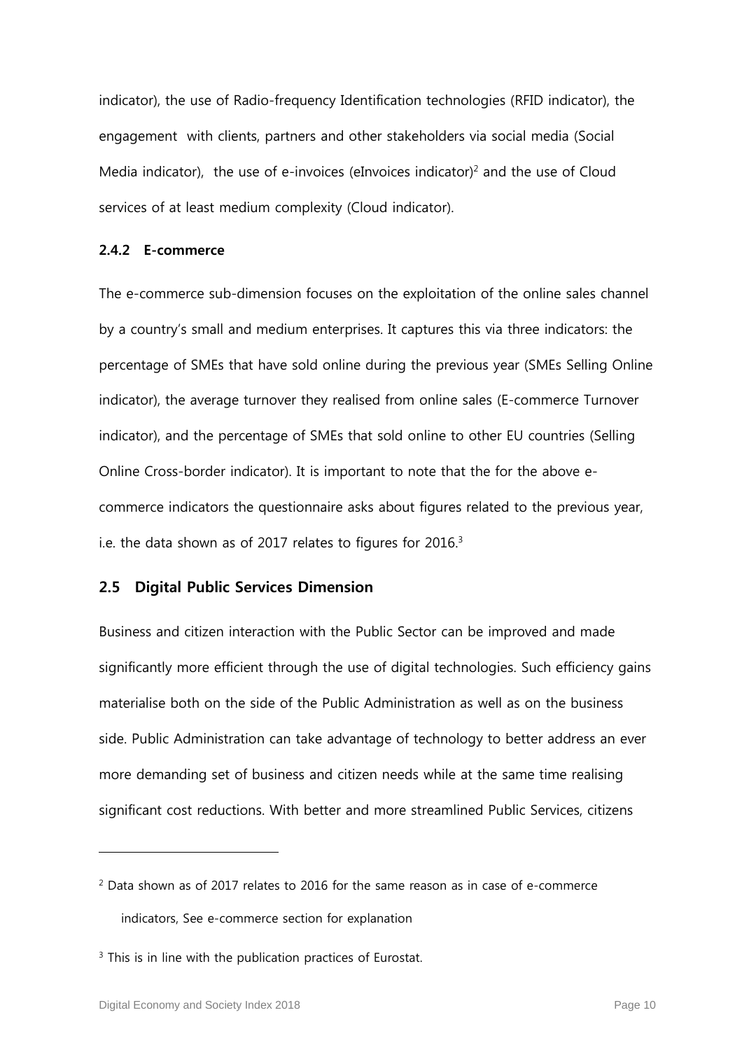indicator), the use of Radio-frequency Identification technologies (RFID indicator), the engagement with clients, partners and other stakeholders via social media (Social Media indicator), the use of e-invoices (eInvoices indicator)<sup>2</sup> and the use of Cloud services of at least medium complexity (Cloud indicator).

#### **2.4.2 E-commerce**

The e-commerce sub-dimension focuses on the exploitation of the online sales channel by a country's small and medium enterprises. It captures this via three indicators: the percentage of SMEs that have sold online during the previous year (SMEs Selling Online indicator), the average turnover they realised from online sales (E-commerce Turnover indicator), and the percentage of SMEs that sold online to other EU countries (Selling Online Cross-border indicator). It is important to note that the for the above ecommerce indicators the questionnaire asks about figures related to the previous year, i.e. the data shown as of 2017 relates to figures for  $2016<sup>3</sup>$ 

#### **2.5 Digital Public Services Dimension**

Business and citizen interaction with the Public Sector can be improved and made significantly more efficient through the use of digital technologies. Such efficiency gains materialise both on the side of the Public Administration as well as on the business side. Public Administration can take advantage of technology to better address an ever more demanding set of business and citizen needs while at the same time realising significant cost reductions. With better and more streamlined Public Services, citizens

<sup>2</sup> Data shown as of 2017 relates to 2016 for the same reason as in case of e-commerce indicators, See e-commerce section for explanation

 $3$  This is in line with the publication practices of Eurostat.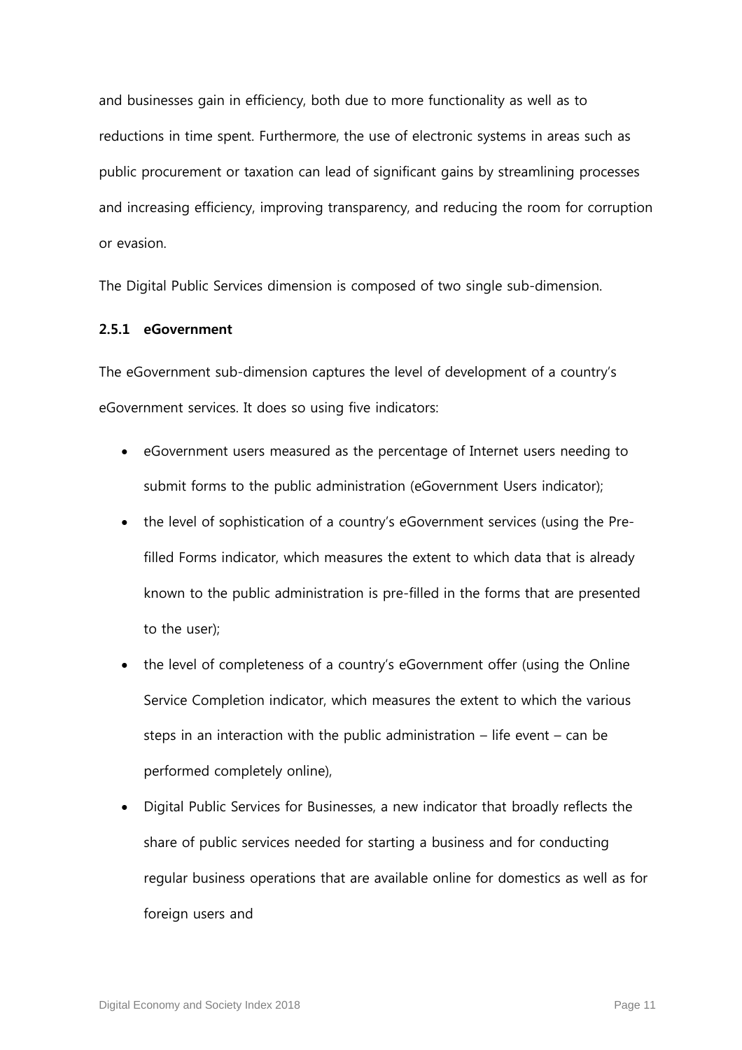and businesses gain in efficiency, both due to more functionality as well as to reductions in time spent. Furthermore, the use of electronic systems in areas such as public procurement or taxation can lead of significant gains by streamlining processes and increasing efficiency, improving transparency, and reducing the room for corruption or evasion.

The Digital Public Services dimension is composed of two single sub-dimension.

#### **2.5.1 eGovernment**

The eGovernment sub-dimension captures the level of development of a country's eGovernment services. It does so using five indicators:

- eGovernment users measured as the percentage of Internet users needing to submit forms to the public administration (eGovernment Users indicator);
- the level of sophistication of a country's eGovernment services (using the Prefilled Forms indicator, which measures the extent to which data that is already known to the public administration is pre-filled in the forms that are presented to the user);
- the level of completeness of a country's eGovernment offer (using the Online Service Completion indicator, which measures the extent to which the various steps in an interaction with the public administration – life event – can be performed completely online),
- Digital Public Services for Businesses, a new indicator that broadly reflects the share of public services needed for starting a business and for conducting regular business operations that are available online for domestics as well as for foreign users and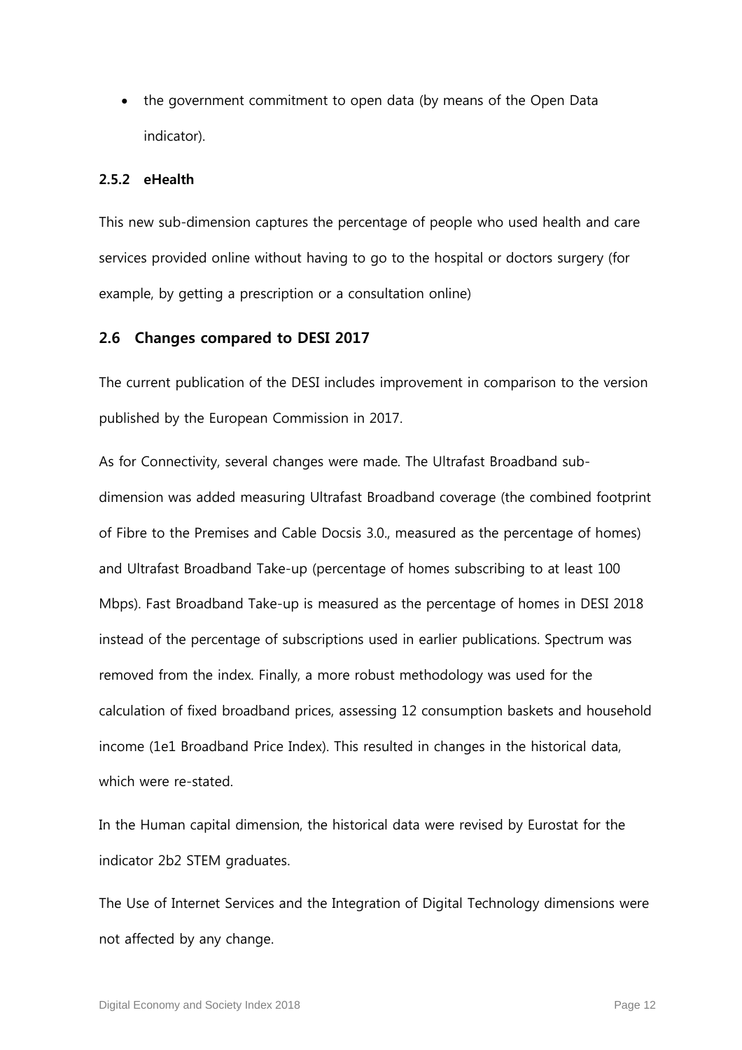• the government commitment to open data (by means of the Open Data indicator).

#### **2.5.2 eHealth**

This new sub-dimension captures the percentage of people who used health and care services provided online without having to go to the hospital or doctors surgery (for example, by getting a prescription or a consultation online)

#### <span id="page-11-0"></span>**2.6 Changes compared to DESI 2017**

The current publication of the DESI includes improvement in comparison to the version published by the European Commission in 2017.

As for Connectivity, several changes were made. The Ultrafast Broadband subdimension was added measuring Ultrafast Broadband coverage (the combined footprint of Fibre to the Premises and Cable Docsis 3.0., measured as the percentage of homes) and Ultrafast Broadband Take-up (percentage of homes subscribing to at least 100 Mbps). Fast Broadband Take-up is measured as the percentage of homes in DESI 2018 instead of the percentage of subscriptions used in earlier publications. Spectrum was removed from the index. Finally, a more robust methodology was used for the calculation of fixed broadband prices, assessing 12 consumption baskets and household income (1e1 Broadband Price Index). This resulted in changes in the historical data, which were re-stated

In the Human capital dimension, the historical data were revised by Eurostat for the indicator 2b2 STEM graduates.

The Use of Internet Services and the Integration of Digital Technology dimensions were not affected by any change.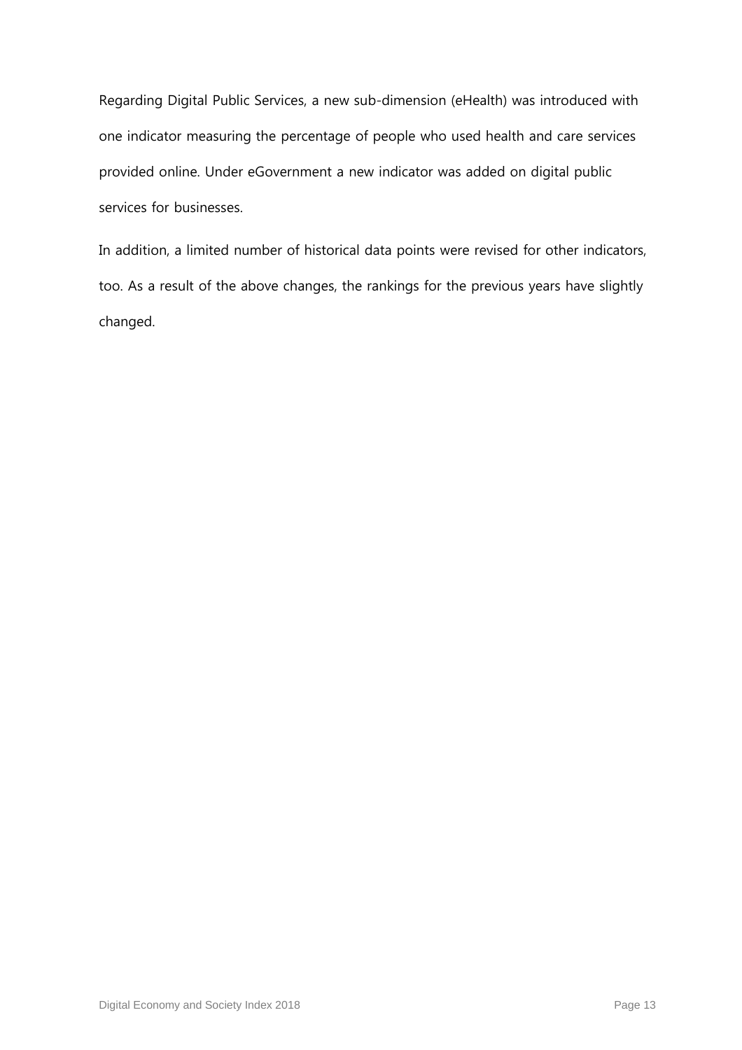Regarding Digital Public Services, a new sub-dimension (eHealth) was introduced with one indicator measuring the percentage of people who used health and care services provided online. Under eGovernment a new indicator was added on digital public services for businesses.

In addition, a limited number of historical data points were revised for other indicators, too. As a result of the above changes, the rankings for the previous years have slightly changed.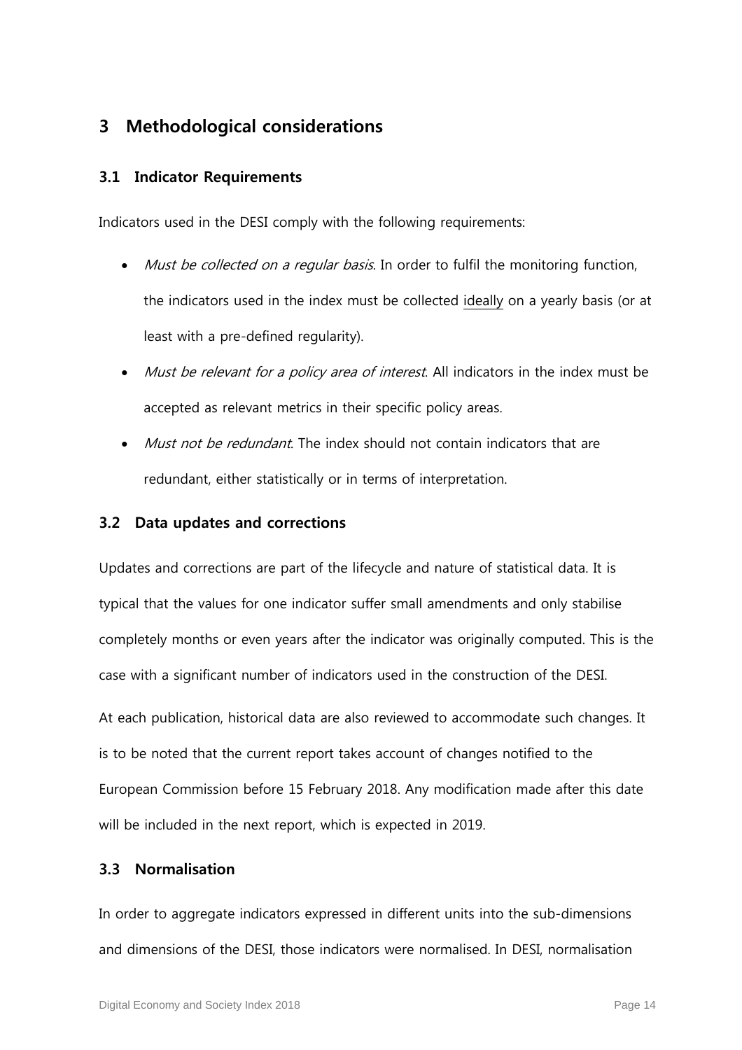## **3 Methodological considerations**

#### **3.1 Indicator Requirements**

Indicators used in the DESI comply with the following requirements:

- Must be collected on a regular basis. In order to fulfil the monitoring function, the indicators used in the index must be collected ideally on a yearly basis (or at least with a pre-defined regularity).
- Must be relevant for a policy area of interest. All indicators in the index must be accepted as relevant metrics in their specific policy areas.
- Must not be redundant. The index should not contain indicators that are redundant, either statistically or in terms of interpretation.

#### **3.2 Data updates and corrections**

Updates and corrections are part of the lifecycle and nature of statistical data. It is typical that the values for one indicator suffer small amendments and only stabilise completely months or even years after the indicator was originally computed. This is the case with a significant number of indicators used in the construction of the DESI.

At each publication, historical data are also reviewed to accommodate such changes. It is to be noted that the current report takes account of changes notified to the European Commission before 15 February 2018. Any modification made after this date will be included in the next report, which is expected in 2019.

#### **3.3 Normalisation**

In order to aggregate indicators expressed in different units into the sub-dimensions and dimensions of the DESI, those indicators were normalised. In DESI, normalisation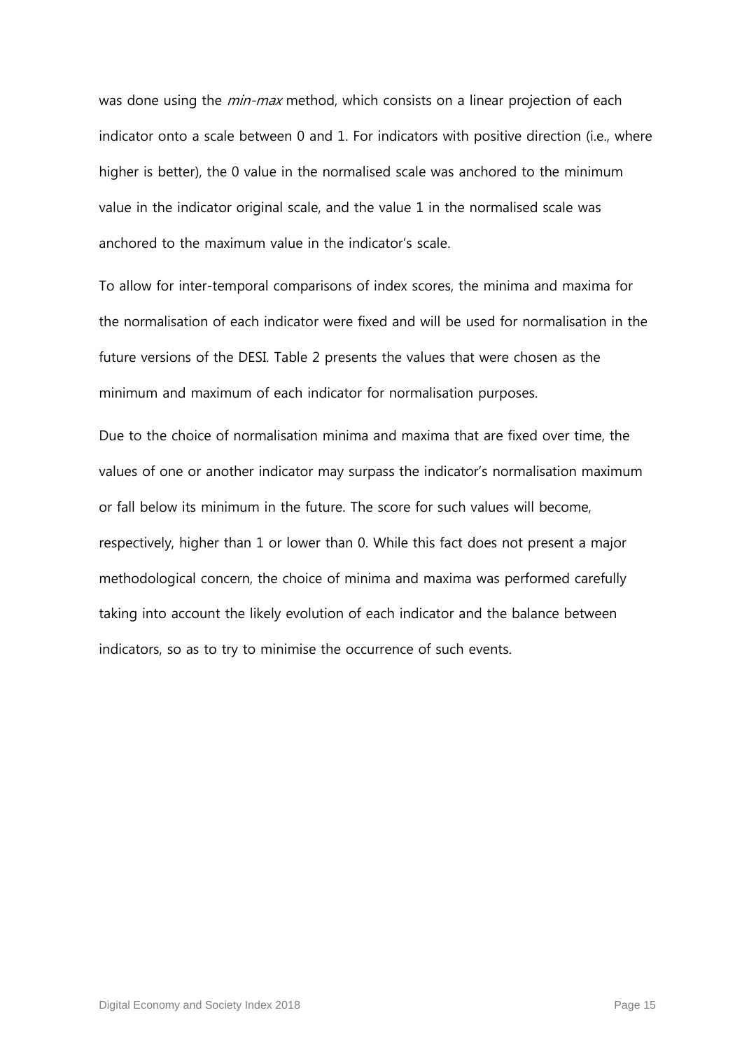was done using the *min-max* method, which consists on a linear projection of each indicator onto a scale between 0 and 1. For indicators with positive direction (i.e., where higher is better), the 0 value in the normalised scale was anchored to the minimum value in the indicator original scale, and the value 1 in the normalised scale was anchored to the maximum value in the indicator's scale.

To allow for inter-temporal comparisons of index scores, the minima and maxima for the normalisation of each indicator were fixed and will be used for normalisation in the future versions of the DESI. [Table 2](#page-16-0) presents the values that were chosen as the minimum and maximum of each indicator for normalisation purposes.

Due to the choice of normalisation minima and maxima that are fixed over time, the values of one or another indicator may surpass the indicator's normalisation maximum or fall below its minimum in the future. The score for such values will become, respectively, higher than 1 or lower than 0. While this fact does not present a major methodological concern, the choice of minima and maxima was performed carefully taking into account the likely evolution of each indicator and the balance between indicators, so as to try to minimise the occurrence of such events.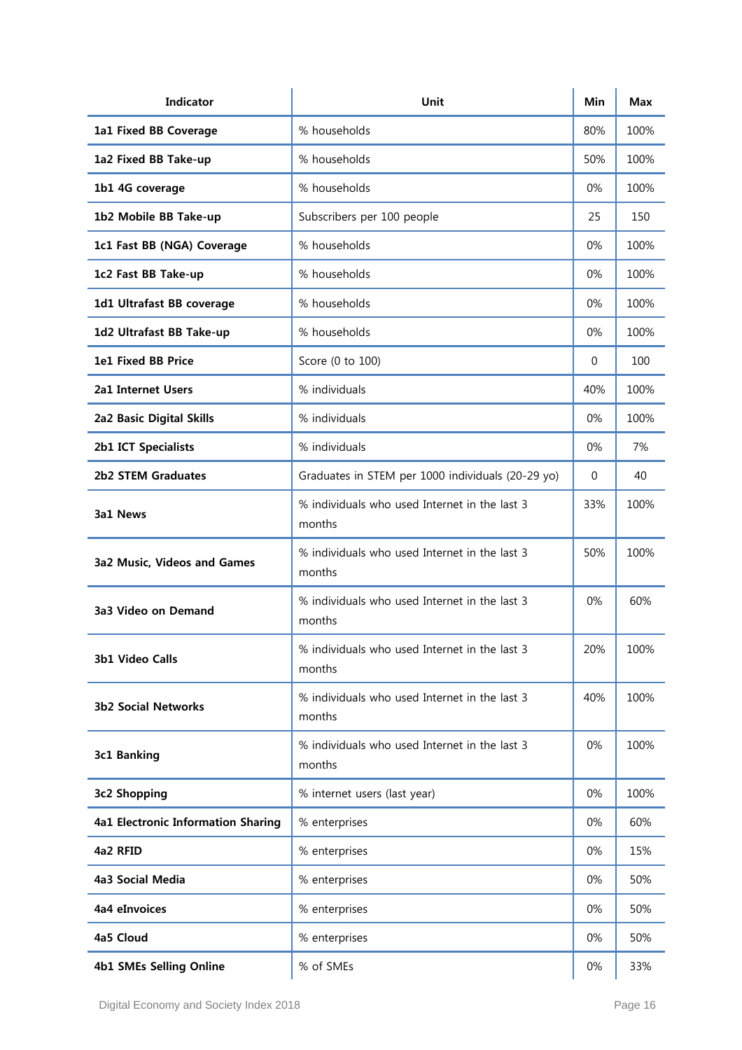| <b>Indicator</b>                   | Unit                                                    | Min | <b>Max</b> |
|------------------------------------|---------------------------------------------------------|-----|------------|
| 1a1 Fixed BB Coverage              | % households                                            | 80% | 100%       |
| 1a2 Fixed BB Take-up               | % households                                            | 50% | 100%       |
| 1b1 4G coverage                    | % households                                            | 0%  | 100%       |
| 1b2 Mobile BB Take-up              | Subscribers per 100 people                              | 25  | 150        |
| 1c1 Fast BB (NGA) Coverage         | % households                                            | 0%  | 100%       |
| 1c2 Fast BB Take-up                | % households                                            | 0%  | 100%       |
| 1d1 Ultrafast BB coverage          | % households                                            | 0%  | 100%       |
| 1d2 Ultrafast BB Take-up           | % households                                            | 0%  | 100%       |
| 1e1 Fixed BB Price                 | Score (0 to 100)                                        | 0   | 100        |
| 2a1 Internet Users                 | % individuals                                           | 40% | 100%       |
| 2a2 Basic Digital Skills           | % individuals                                           | 0%  | 100%       |
| 2b1 ICT Specialists                | % individuals                                           | 0%  | 7%         |
| 2b2 STEM Graduates                 | Graduates in STEM per 1000 individuals (20-29 yo)       | 0   | 40         |
| 3a1 News                           | % individuals who used Internet in the last 3<br>months | 33% | 100%       |
| 3a2 Music, Videos and Games        | % individuals who used Internet in the last 3<br>months | 50% | 100%       |
| 3a3 Video on Demand                | % individuals who used Internet in the last 3<br>months | 0%  | 60%        |
| 3b1 Video Calls                    | % individuals who used Internet in the last 3<br>months | 20% | 100%       |
| <b>3b2 Social Networks</b>         | % individuals who used Internet in the last 3<br>months | 40% | 100%       |
| 3c1 Banking                        | % individuals who used Internet in the last 3<br>months | 0%  | 100%       |
| 3c2 Shopping                       | % internet users (last year)                            | 0%  | 100%       |
| 4a1 Electronic Information Sharing | % enterprises                                           | 0%  | 60%        |
| 4a2 RFID                           | % enterprises                                           | 0%  | 15%        |
| 4a3 Social Media                   | % enterprises                                           | 0%  | 50%        |
| 4a4 eInvoices                      | % enterprises                                           | 0%  | 50%        |
| 4a5 Cloud                          | % enterprises                                           | 0%  | 50%        |
| <b>4b1 SMEs Selling Online</b>     | % of SMEs                                               | 0%  | 33%        |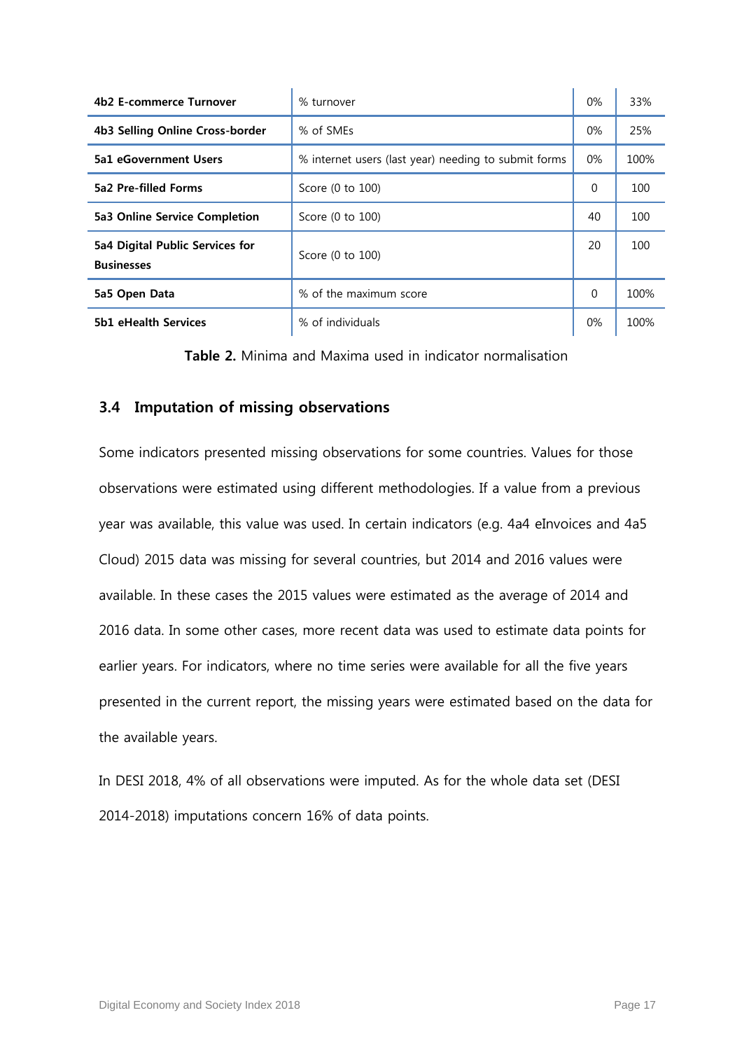| 4b2 E-commerce Turnover                              | % turnover                                           | $0\%$    | 33%  |
|------------------------------------------------------|------------------------------------------------------|----------|------|
| 4b3 Selling Online Cross-border                      | % of SMEs                                            | $0\%$    | 25%  |
| 5a1 eGovernment Users                                | % internet users (last year) needing to submit forms | $0\%$    | 100% |
| 5a2 Pre-filled Forms                                 | Score (0 to 100)                                     | 0        | 100  |
| 5a3 Online Service Completion                        | Score (0 to 100)                                     | 40       | 100  |
| 5a4 Digital Public Services for<br><b>Businesses</b> | Score (0 to 100)                                     | 20       | 100  |
| 5a5 Open Data                                        | % of the maximum score                               | $\Omega$ | 100% |
| <b>5b1 eHealth Services</b>                          | % of individuals                                     | $0\%$    | 100% |

**Table 2.** Minima and Maxima used in indicator normalisation

#### <span id="page-16-0"></span>**3.4 Imputation of missing observations**

Some indicators presented missing observations for some countries. Values for those observations were estimated using different methodologies. If a value from a previous year was available, this value was used. In certain indicators (e.g. 4a4 eInvoices and 4a5 Cloud) 2015 data was missing for several countries, but 2014 and 2016 values were available. In these cases the 2015 values were estimated as the average of 2014 and 2016 data. In some other cases, more recent data was used to estimate data points for earlier years. For indicators, where no time series were available for all the five years presented in the current report, the missing years were estimated based on the data for the available years.

In DESI 2018, 4% of all observations were imputed. As for the whole data set (DESI 2014-2018) imputations concern 16% of data points.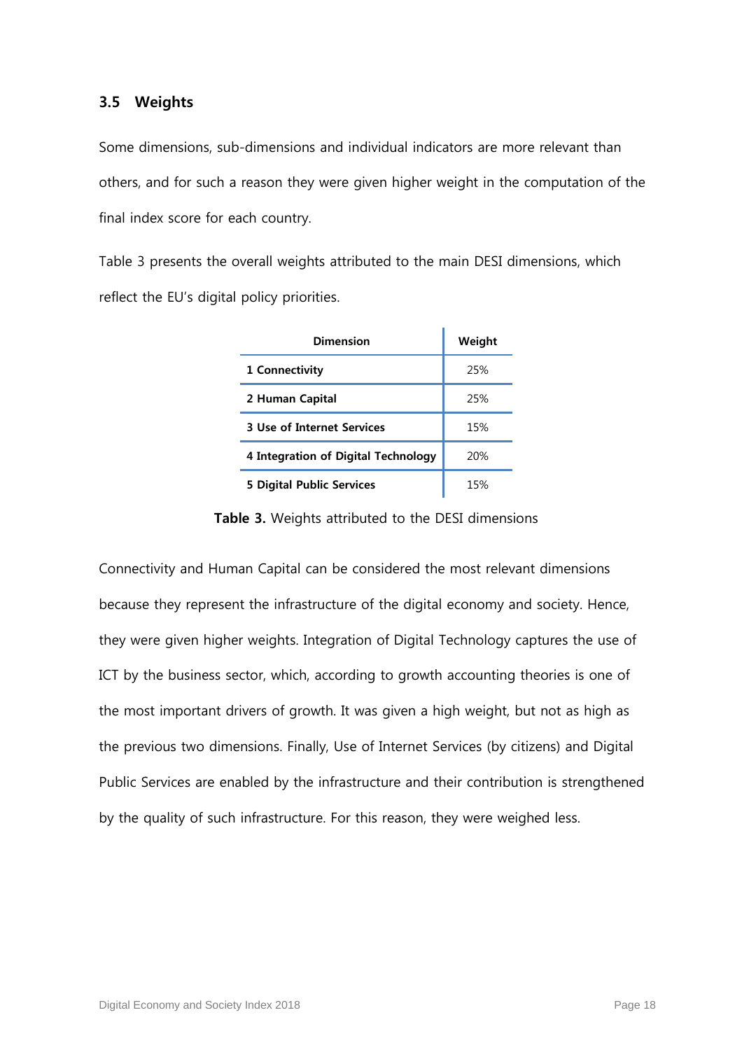#### **3.5 Weights**

Some dimensions, sub-dimensions and individual indicators are more relevant than others, and for such a reason they were given higher weight in the computation of the final index score for each country.

Table 3 presents the overall weights attributed to the main DESI dimensions, which reflect the EU's digital policy priorities.

| Dimension                           | Weight |
|-------------------------------------|--------|
| 1 Connectivity                      | 25%    |
| 2 Human Capital                     | 25%    |
| <b>3 Use of Internet Services</b>   | 15%    |
| 4 Integration of Digital Technology | 20%    |
| 5 Digital Public Services           | 15%    |

**Table 3.** Weights attributed to the DESI dimensions

Connectivity and Human Capital can be considered the most relevant dimensions because they represent the infrastructure of the digital economy and society. Hence, they were given higher weights. Integration of Digital Technology captures the use of ICT by the business sector, which, according to growth accounting theories is one of the most important drivers of growth. It was given a high weight, but not as high as the previous two dimensions. Finally, Use of Internet Services (by citizens) and Digital Public Services are enabled by the infrastructure and their contribution is strengthened by the quality of such infrastructure. For this reason, they were weighed less.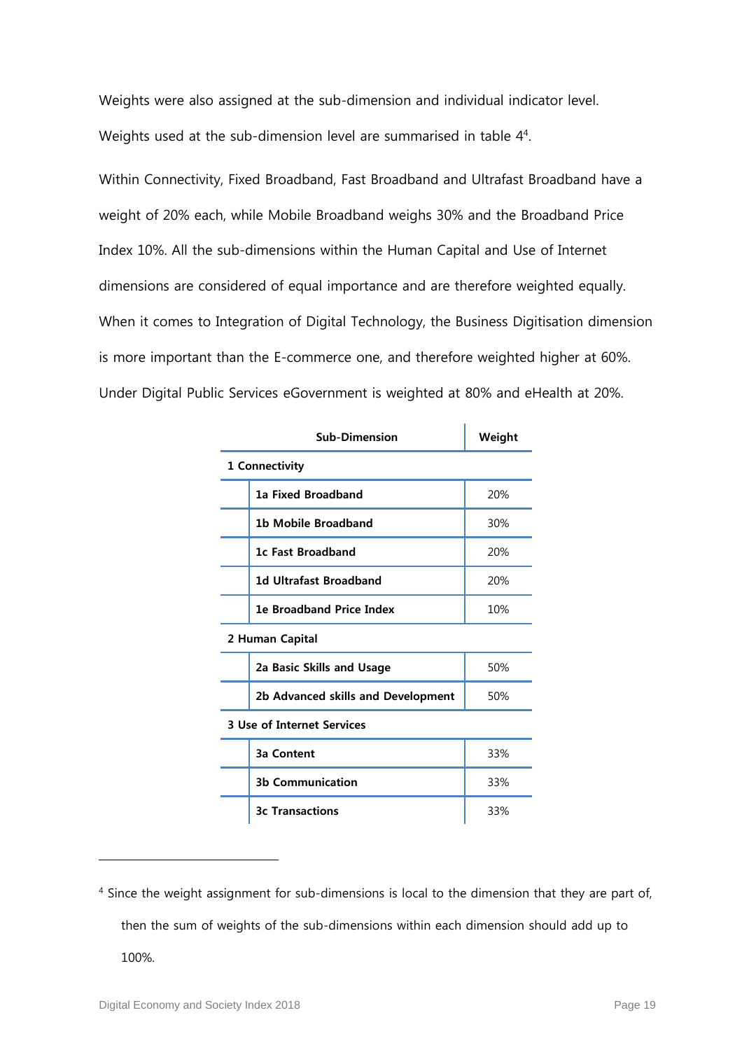Weights were also assigned at the sub-dimension and individual indicator level. Weights used at the sub-dimension level are summarised in table [4](#page-19-0)<sup>4</sup>.

Within Connectivity, Fixed Broadband, Fast Broadband and Ultrafast Broadband have a weight of 20% each, while Mobile Broadband weighs 30% and the Broadband Price Index 10%. All the sub-dimensions within the Human Capital and Use of Internet dimensions are considered of equal importance and are therefore weighted equally. When it comes to Integration of Digital Technology, the Business Digitisation dimension is more important than the E-commerce one, and therefore weighted higher at 60%. Under Digital Public Services eGovernment is weighted at 80% and eHealth at 20%.

| <b>Sub-Dimension</b>               | Weight |  |  |
|------------------------------------|--------|--|--|
| 1 Connectivity                     |        |  |  |
| <b>1a Fixed Broadband</b>          | 20%    |  |  |
| <b>1b Mobile Broadband</b>         | 30%    |  |  |
| 1c Fast Broadband                  | 20%    |  |  |
| 1d Ultrafast Broadband             | 20%    |  |  |
| <b>1e Broadband Price Index</b>    | 10%    |  |  |
| 2 Human Capital                    |        |  |  |
| 2a Basic Skills and Usage          | 50%    |  |  |
| 2b Advanced skills and Development | 50%    |  |  |
| <b>3 Use of Internet Services</b>  |        |  |  |
| <b>3a Content</b>                  | 33%    |  |  |
| <b>3b Communication</b>            | 33%    |  |  |
| <b>3c Transactions</b>             | 33%    |  |  |

<sup>&</sup>lt;sup>4</sup> Since the weight assignment for sub-dimensions is local to the dimension that they are part of, then the sum of weights of the sub-dimensions within each dimension should add up to 100%.